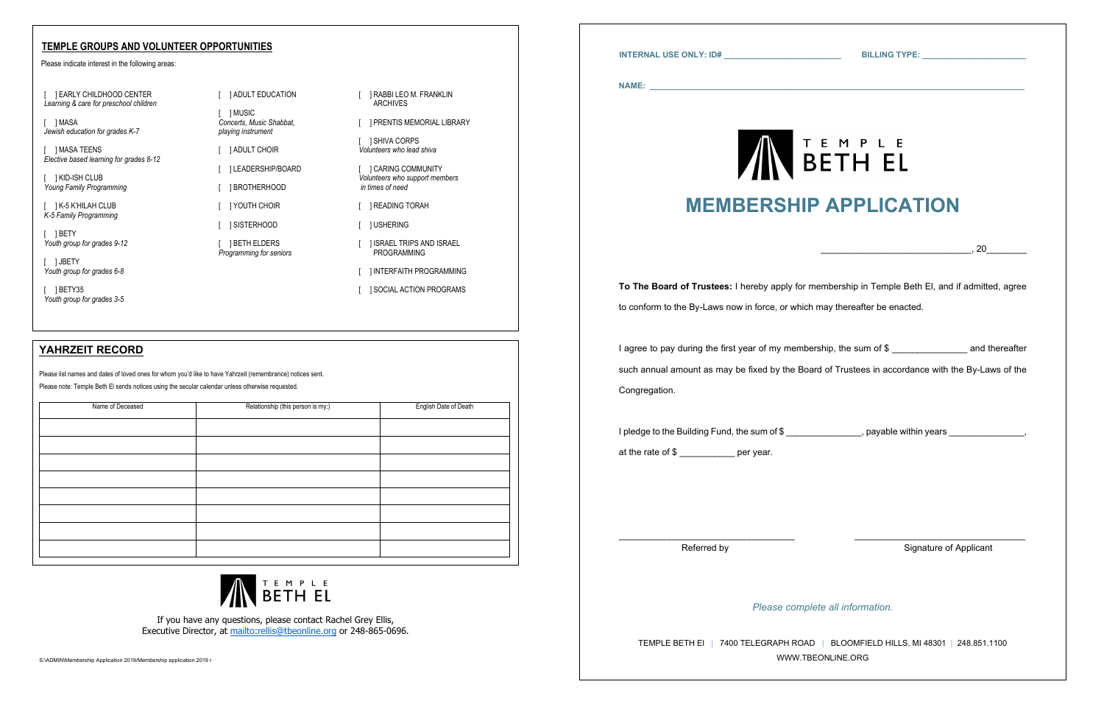|                                                                             | <b>AND TEMPLE</b>                                                                                    |
|-----------------------------------------------------------------------------|------------------------------------------------------------------------------------------------------|
|                                                                             | <b>MEMBERSHIP APPLICATION</b>                                                                        |
|                                                                             |                                                                                                      |
|                                                                             |                                                                                                      |
|                                                                             | To The Board of Trustees: I hereby apply for membership in Temple Beth El, and if admitted, agree    |
| to conform to the By-Laws now in force, or which may thereafter be enacted. |                                                                                                      |
|                                                                             |                                                                                                      |
|                                                                             | I agree to pay during the first year of my membership, the sum of \$ ________________ and thereafter |
|                                                                             | such annual amount as may be fixed by the Board of Trustees in accordance with the By-Laws of the    |
| Congregation.                                                               |                                                                                                      |
|                                                                             |                                                                                                      |
|                                                                             | l pledge to the Building Fund, the sum of \$ _______________, payable within years _______________,  |
| at the rate of $\frac{1}{2}$ per year.                                      |                                                                                                      |
|                                                                             |                                                                                                      |
|                                                                             |                                                                                                      |
|                                                                             |                                                                                                      |
| Referred by                                                                 | Signature of Applicant                                                                               |
|                                                                             |                                                                                                      |
|                                                                             | Please complete all information.                                                                     |
|                                                                             | TEMPLE BETH EI   7400 TELEGRAPH ROAD   BLOOMFIELD HILLS, MI 48301   248.851.1100                     |
|                                                                             | WWW.TBEONLINE.ORG                                                                                    |

] MUSIC *Concerts, Music Shabbat, playing instrument*

- [ ] ADULT CHOIR
- [ ] LEADERSHIP/BOARD

[ ] RABBI LEO M. FRANKLIN **ARCHIVES** 

#### **TEMPLE GROUPS AND VOLUNTEER OPPORTUNITIES**

Please indicate interest in the following areas:

[ ] EARLY CHILDHOOD CENTER *Learning & care for preschool children*

[ ] MASA *Jewish education for grades K-7*

[ ] MASA TEENS *Elective based learning for grades 8-12*

[ ] KID-ISH CLUB *Young Family Programming* 

[ ] K-5 K'HILAH CLUB *K-5 Family Programming*

[ ] BETY *Youth group for grades 9-12*

[ ] JBETY *Youth group for grades 6-8*

[ ] BETY35 *Youth group for grades 3-5*

# [ ] ADULT EDUCATION

[ ] BROTHERHOOD

[ ] YOUTH CHOIR

[ ] SISTERHOOD

[ ] SHIVA CORPS *Volunteers who lead shiva*

- [ ] BETH ELDERS *Programming for seniors*
- [ ] INTERFAITH PROGRAMMING

[ ] CARING COMMUNITY *Volunteers who support members*

[ ] PRENTIS MEMORIAL LIBRARY

*in times of need*

[ ] USHERING

[ ] READING TORAH

[ ] ISRAEL TRIPS AND ISRAEL PROGRAMMING

[ ] SOCIAL ACTION PROGRAMS

### **YAHRZEIT RECORD**

Please list names and dates of loved ones for whom you'd like to have Yahrzeit (remembrance) notices sent. Please note: Temple Beth El sends notices using the secular calendar unless otherwise requested.

| Name of Deceased | Relationship (this person is my:) | English Date of Death |
|------------------|-----------------------------------|-----------------------|
|                  |                                   |                       |
|                  |                                   |                       |
|                  |                                   |                       |
|                  |                                   |                       |
|                  |                                   |                       |
|                  |                                   |                       |
|                  |                                   |                       |
|                  |                                   |                       |
|                  |                                   |                       |



If you have any questions, please contact Rachel Grey Ellis, Executive Director, at<mailto:rellis@tbeonline.org> or 248-865-0696.